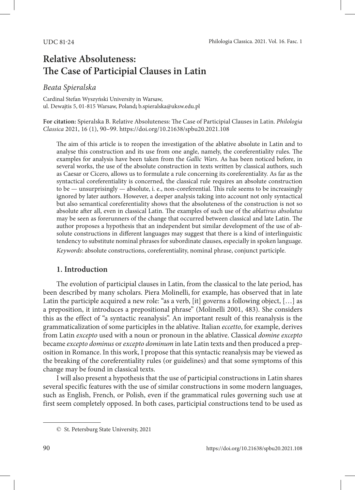# **Relative Absoluteness: The Case of Participial Clauses in Latin**

## *Beata Spieralska*

Cardinal Stefan Wyszyński University in Warsaw, ul. Dewajtis 5, 01-815 Warsaw, Poland**;** b.spieralska@uksw.edu.pl

**For citation:** Spieralska B. Relative Absoluteness: The Case of Participial Clauses in Latin. *Philologia Classica* 2021, 16 (1), 90–99. <https://doi.org/10.21638/spbu20.2021.108>

The aim of this article is to reopen the investigation of the ablative absolute in Latin and to analyse this construction and its use from one angle, namely, the coreferentiality rules. The examples for analysis have been taken from the *Gallic Wars*. As has been noticed before, in several works, the use of the absolute construction in texts written by classical authors, such as Caesar or Cicero, allows us to formulate a rule concerning its coreferentiality. As far as the syntactical coreferentiality is concerned, the classical rule requires an absolute construction to be — unsurprisingly — absolute, i. e., non-coreferential. This rule seems to be increasingly ignored by later authors. However, a deeper analysis taking into account not only syntactical but also semantical coreferentiality shows that the absoluteness of the construction is not so absolute after all, even in classical Latin. The examples of such use of the *ablativus absolutus* may be seen as forerunners of the change that occurred between classical and late Latin. The author proposes a hypothesis that an independent but similar development of the use of absolute constructions in different languages may suggest that there is a kind of interlinguistic tendency to substitute nominal phrases for subordinate clauses, especially in spoken language. *Keywords*: absolute constructions, coreferentiality, nominal phrase, conjunct participle.

# **1. Introduction**

The evolution of participial clauses in Latin, from the classical to the late period, has been described by many scholars. Piera Molinelli, for example, has observed that in late Latin the participle acquired a new role: "as a verb, [it] governs a following object,  $[\ldots]$  as a preposition, it introduces a prepositional phrase" (Molinelli 2001, 483). She considers this as the effect of "a syntactic reanalysis". An important result of this reanalysis is the grammaticalization of some participles in the ablative. Italian *eccetto*, for example, derives from Latin *excepto* used with a noun or pronoun in the ablative. Classical *domine excepto* became *excepto dominus* or *excepto dominum* in late Latin texts and then produced a preposition in Romance. In this work, I propose that this syntactic reanalysis may be viewed as the breaking of the coreferentiality rules (or guidelines) and that some symptoms of this change may be found in classical texts.

I will also present a hypothesis that the use of participial constructions in Latin shares several specific features with the use of similar constructions in some modern languages, such as English, French, or Polish, even if the grammatical rules governing such use at first seem completely opposed. In both cases, participial constructions tend to be used as

<sup>©</sup> St. Petersburg State University, 2021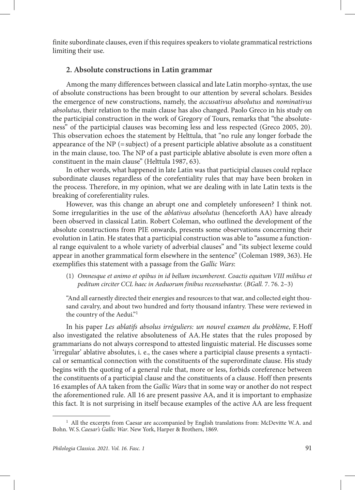finite subordinate clauses, even if this requires speakers to violate grammatical restrictions limiting their use.

## **2. Absolute constructions in Latin grammar**

Among the many differences between classical and late Latin morpho-syntax, the use of absolute constructions has been brought to our attention by several scholars. Besides the emergence of new constructions, namely, the *accusativus absolutus* and *nominativus absolutus*, their relation to the main clause has also changed. Paolo Greco in his study on the participial construction in the work of Gregory of Tours, remarks that "the absoluteness" of the participial clauses was becoming less and less respected (Greco 2005, 20). This observation echoes the statement by Helttula, that "no rule any longer forbade the appearance of the  $NP$  (= subject) of a present participle ablative absolute as a constituent in the main clause, too. The NP of a past participle ablative absolute is even more often a constituent in the main clause" (Helttula 1987, 63).

In other words, what happened in late Latin was that participial clauses could replace subordinate clauses regardless of the corefentiality rules that may have been broken in the process. Therefore, in my opinion, what we are dealing with in late Latin texts is the breaking of coreferentiality rules.

However, was this change an abrupt one and completely unforeseen? I think not. Some irregularities in the use of the *ablativus absolutus* (henceforth AA) have already been observed in classical Latin. Robert Coleman, who outlined the development of the absolute constructions from PIE onwards, presents some observations concerning their evolution in Latin. He states that a participial construction was able to "assume a functional range equivalent to a whole variety of adverbial clauses" and "its subject lexeme could appear in another grammatical form elsewhere in the sentence" (Coleman 1989, 363). He exemplifies this statement with a passage from the *Gallic Wars*:

(1) *Omnesque et animo et opibus in id bellum incumberent. Coactis equitum VIII milibus et peditum circiter CCL haec in Aeduorum finibus recensebantur.* (*BGall.* 7. 76. 2–3)

"Аnd all earnestly directed their energies and resources to that war, and collected eight thousand cavalry, and about two hundred and forty thousand infantry. These were reviewed in the country of the Aedui."1

In his paper *Les ablatifs absolus irréguliers: un nouvel examen du problème*, F.Hoff also investigated the relative absoluteness of AA.He states that the rules proposed by grammarians do not always correspond to attested linguistic material. He discusses some 'irregular' ablative absolutes, i. e., the cases where a participial clause presents a syntactical or semantical connection with the constituents of the superordinate clause. His study begins with the quoting of a general rule that, more or less, forbids coreference between the constituents of a participial clause and the constituents of a clause. Hoff then presents 16 examples of AA taken from the *Gallic Wars* that in some way or another do not respect the aforementioned rule. All 16 are present passive AA, and it is important to emphasize this fact. It is not surprising in itself because examples of the active AA are less frequent

 $<sup>1</sup>$  All the excerpts from Caesar are accompanied by English translations from: McDevitte W.A. and</sup> Bohn. W. S.*Caesar's Gallic War*. New York, Harper & Brothers, 1869.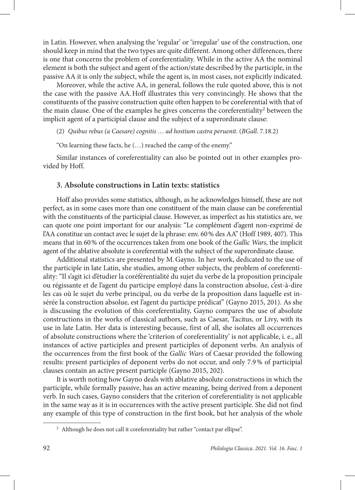in Latin. However, when analysing the 'regular' or 'irregular' use of the construction, one should keep in mind that the two types are quite different. Among other differences, there is one that concerns the problem of coreferentiality. While in the active AA the nominal element is both the subject and agent of the action/state described by the participle, in the passive AA it is only the subject, while the agent is, in most cases, not explicitly indicated.

Moreover, while the active AA, in general, follows the rule quoted above, this is not the case with the passive AA.Hoff illustrates this very convincingly. He shows that the constituents of the passive construction quite often happen to be coreferential with that of the main clause. One of the examples he gives concerns the coreferentiality<sup>2</sup> between the implicit agent of a participial clause and the subject of a superordinate clause:

(2) *Quibus rebus (a Caesare) cognitis … ad hostium castra peruenit*. (*BGall*. 7.18.2)

"On learning these facts, he (…) reached the camp of the enemy."

Similar instances of coreferentiality can also be pointed out in other examples provided by Hoff.

# **3. Absolute constructions in Latin texts: statistics**

Hoff also provides some statistics, although, as he acknowledges himself, these are not perfect, as in some cases more than one constituent of the main clause can be coreferential with the constituents of the participial clause. However, as imperfect as his statistics are, we can quote one point important for our analysis: "Le complément d'agent non-exprimé de l'AA constitue un contact avec le sujet de la phrase: env. 60% des AA" (Hoff 1989, 407). This means that in 60% of the occurrences taken from one book of the *Gallic Wars*, the implicit agent of the ablative absolute is coreferential with the subject of the superordinate clause.

Additional statistics are presented by M.Gayno. In her work, dedicated to the use of the participle in late Latin, she studies, among other subjects, the problem of coreferentiality: "Il s'agit ici d'étudier la coréférentialité du sujet du verbe de la proposition principale ou régissante et de l'agent du participe employé dans la construction absolue, c'est-à-dire les cas où le sujet du verbe principal, ou du verbe de la proposition dans laquelle est insérée la construction absolue, est l'agent du participe prédicat" (Gayno 2015, 201). As she is discussing the evolution of this coreferentiality, Gayno compares the use of absolute constructions in the works of classical authors, such as Caesar, Tacitus, or Livy, with its use in late Latin. Her data is interesting because, first of all, she isolates all occurrences of absolute constructions where the 'criterion of coreferentiality' is not applicable, i. e., all instances of active participles and present participles of deponent verbs. An analysis of the occurrences from the first book of the *Gallic Wars* of Caesar provided the following results: present participles of deponent verbs do not occur, and only 7.9% of participial clauses contain an active present participle (Gayno 2015, 202).

It is worth noting how Gayno deals with ablative absolute constructions in which the participle, while formally passive, has an active meaning, being derived from a deponent verb. In such cases, Gayno considers that the criterion of coreferentiality is not applicable in the same way as it is in occurrences with the active present participle. She did not find any example of this type of construction in the first book, but her analysis of the whole

<sup>&</sup>lt;sup>2</sup> Although he does not call it coreferentiality but rather "contact par ellipse".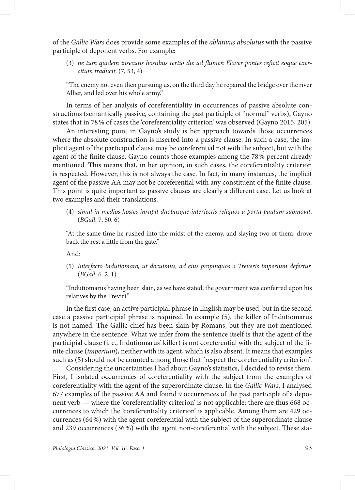of the *Gallic Wars* does provide some examples of the *ablativus absolutus* with the passive participle of deponent verbs. For example:

(3) *ne tum quidem insecutis hostibus tertio die ad flumen Elaver pontes reficit eoque exercitum traducit*. (7, 53, 4)

"The enemy not even then pursuing us, on the third day he repaired the bridge over the river Allier, and led over his whole army."

In terms of her analysis of coreferentiality in occurrences of passive absolute constructions (semantically passive, containing the past participle of "normal" verbs), Gayno states that in 78% of cases the 'coreferentiality criterion' was observed (Gayno 2015, 205).

An interesting point in Gayno's study is her approach towards those occurrences where the absolute construction is inserted into a passive clause. In such a case, the implicit agent of the participial clause may be coreferential not with the subject, but with the agent of the finite clause. Gayno counts those examples among the 78% percent already mentioned. This means that, in her opinion, in such cases, the coreferentiality criterion is respected. However, this is not always the case. In fact, in many instances, the implicit agent of the passive AA may not be coreferential with any constituent of the finite clause. This point is quite important as passive clauses are clearly a different case. Let us look at two examples and their translations:

(4) *simul in medios hostes inrupit duobusque interfectis reliquos a porta paulum submovit*. (*BGall*. 7. 50. 6)

"At the same time he rushed into the midst of the enemy, and slaying two of them, drove back the rest a little from the gate."

And:

(5) *Interfecto Indutiomaro, ut docuimus, ad eius propinquos a Treveris imperium defertur.* (*BGall*. 6. 2. 1)

"Indutiomarus having been slain, as we have stated, the government was conferred upon his relatives by the Treviri."

In the first case, an active participial phrase in English may be used, but in the second case a passive participial phrase is required. In example (5), the killer of Indutiomarus is not named. The Gallic chief has been slain by Romans, but they are not mentioned anywhere in the sentence. What we infer from the sentence itself is that the agent of the participial clause (i. e., Indutiomarus' killer) is not coreferential with the subject of the finite clause (*imperium*), neither with its agent, which is also absent. It means that examples such as (5) should not be counted among those that "respect the coreferentiality criterion".

Considering the uncertainties I had about Gayno's statistics, I decided to revise them. First, I isolated occurrences of coreferentiality with the subject from the examples of coreferentiality with the agent of the superordinate clause. In the *Gallic Wars*, I analysed 677 examples of the passive AA and found 9 occurrences of the past participle of a deponent verb — where the 'coreferentiality criterion' is not applicable; there are thus 668 occurrences to which the 'coreferentiality criterion' is applicable. Among them are 429 occurrences (64%) with the agent coreferential with the subject of the superordinate clause and 239 occurrences (36%) with the agent non-coreferential with the subject. These sta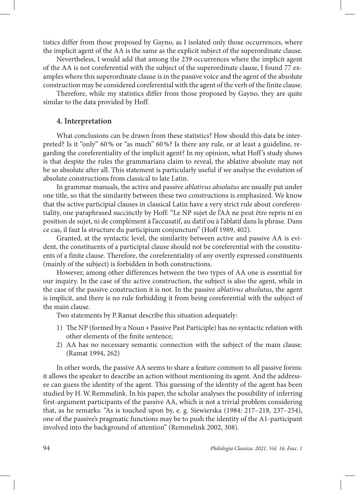tistics differ from those proposed by Gayno, as I isolated only those occurrences, where the implicit agent of the AA is the same as the explicit subject of the superordinate clause.

Nevertheless, I would add that among the 239 occurrences where the implicit agent of the AA is not coreferential with the subject of the superordinate clause, I found 77 examples where this superordinate clause is in the passive voice and the agent of the absolute construction may be considered coreferential with the agent of the verb of the finite clause.

Therefore, while my statistics differ from those proposed by Gayno, they are quite similar to the data provided by Hoff.

#### **4. Interpretation**

What conclusions can be drawn from these statistics? How should this data be interpreted? Is it "only" 60% or "as much" 60%? Is there any rule, or at least a guideline, regarding the coreferentiality of the implicit agent? In my opinion, what Hoff 's study shows is that despite the rules the grammarians claim to reveal, the ablative absolute may not be so absolute after all. This statement is particularly useful if we analyse the evolution of absolute constructions from classical to late Latin.

In grammar manuals, the active and passive *ablativus absolutus* are usually put under one title, so that the similarity between these two constructions is emphasized. We know that the active participial clauses in classical Latin have a very strict rule about coreferentiality, one paraphrased succinctly by Hoff: "Le NP sujet de l'AA ne peut être repris ni en position de sujet, ni de complément à l'accusatif, au datif ou à l'ablatif dans la phrase. Dans ce cas, il faut la structure du participium conjunctum" (Hoff 1989, 402).

Granted, at the syntactic level, the similarity between active and passive AA is evident, the constituents of a participial clause should not be coreferential with the constituents of a finite clause. Therefore, the coreferentiality of any overtly expressed constituents (mainly of the subject) is forbidden in both constructions.

However, among other differences between the two types of AA one is essential for our inquiry. In the case of the active construction, the subject is also the agent, while in the case of the passive construction it is not. In the passive *ablativus absolutus*, the agent is implicit, and there is no rule forbidding it from being coreferential with the subject of the main clause.

Two statements by P.Ramat describe this situation adequately:

- 1) The NP (formed by a Noun+Passive Past Participle) has no syntactic relation with other elements of the finite sentence;
- 2) AA has no necessary semantic connection with the subject of the main clause. (Ramat 1994, 262)

In other words, the passive AA seems to share a feature common to all passive forms: it allows the speaker to describe an action without mentioning its agent. And the addressee can guess the identity of the agent. This guessing of the identity of the agent has been studied by H.W.Remmelink. In his paper, the scholar analyses the possibility of inferring first-argument participants of the passive AA, which is not a trivial problem considering that, as he remarks: "As is touched upon by, e. g. Siewierska (1984: 217–218, 237–254), one of the passive's pragmatic functions may be to push the identity of the A1-participant involved into the background of attention" (Remmelink 2002, 308).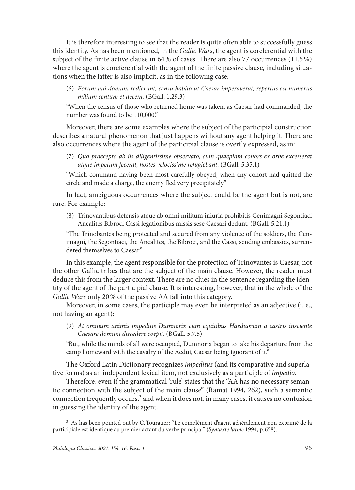It is therefore interesting to see that the reader is quite often able to successfully guess this identity. As has been mentioned, in the *Gallic Wars*, the agent is coreferential with the subject of the finite active clause in 64% of cases. There are also 77 occurrences (11.5%) where the agent is coreferential with the agent of the finite passive clause, including situations when the latter is also implicit, as in the following case:

(6) *Eorum qui domum redierunt, censu habito ut Caesar imperaverat, repertus est numerus milium centum et decem.* (BGall. 1.29.3)

"When the census of those who returned home was taken, as Caesar had commanded, the number was found to be 110,000."

Moreover, there are some examples where the subject of the participial construction describes a natural phenomenon that just happens without any agent helping it. There are also occurrences where the agent of the participial clause is overtly expressed, as in:

(7) *Quo praecepto ab iis diligentissime observato, cum quaepiam cohors ex orbe excesserat atque impetum fecerat, hostes velocissime refugiebant*. (BGall. 5.35.1)

"Which command having been most carefully obeyed, when any cohort had quitted the circle and made a charge, the enemy fled very precipitately."

In fact, ambiguous occurrences where the subject could be the agent but is not, are rare. For example:

(8) Trinovantibus defensis atque ab omni militum iniuria prohibitis Cenimagni Segontiaci Ancalites Bibroci Cassi legationibus missis sese Caesari dedunt. (BGall. 5.21.1)

"The Trinobantes being protected and secured from any violence of the soldiers, the Cenimagni, the Segontiaci, the Ancalites, the Bibroci, and the Cassi, sending embassies, surrendered themselves to Caesar."

In this example, the agent responsible for the protection of Trinovantes is Caesar, not the other Gallic tribes that are the subject of the main clause. However, the reader must deduce this from the larger context. There are no clues in the sentence regarding the identity of the agent of the participial clause. It is interesting, however, that in the whole of the *Gallic Wars* only 20% of the passive AA fall into this category.

Moreover, in some cases, the participle may even be interpreted as an adjective (i. e., not having an agent):

(9) *At omnium animis impeditis Dumnorix cum equitibus Haeduorum a castris insciente Caesare domum discedere coepit*. (BGall. 5.7.5)

"But, while the minds of all were occupied, Dumnorix began to take his departure from the camp homeward with the cavalry of the Aedui, Caesar being ignorant of it."

The Oxford Latin Dictionary recognizes *impeditus* (and its comparative and superlative forms) as an independent lexical item, not exclusively as a participle of *impedio*.

Therefore, even if the grammatical 'rule' states that the "AA has no necessary semantic connection with the subject of the main clause" (Ramat 1994, 262), such a semantic connection frequently occurs,<sup>3</sup> and when it does not, in many cases, it causes no confusion in guessing the identity of the agent.

<sup>&</sup>lt;sup>3</sup> As has been pointed out by C. Touratier: "Le complément d'agent généralement non exprimé de la participiale est identique au premier actant du verbe principal" (*Syntaxte latine* 1994, p. 658).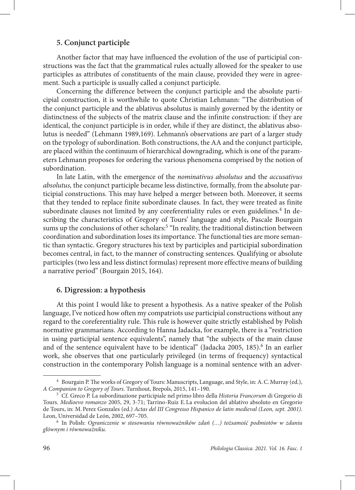## **5. Conjunct participle**

Another factor that may have influenced the evolution of the use of participial constructions was the fact that the grammatical rules actually allowed for the speaker to use participles as attributes of constituents of the main clause, provided they were in agreement. Such a participle is usually called a conjunct participle.

Concerning the difference between the conjunct participle and the absolute participial construction, it is worthwhile to quote Christian Lehmann: "The distribution of the conjunct participle and the ablativus absolutus is mainly governed by the identity or distinctness of the subjects of the matrix clause and the infinite construction: if they are identical, the conjunct participle is in order, while if they are distinct, the ablativus absolutus is needed" (Lehmann 1989,169). Lehmann's observations are part of a larger study on the typology of subordination. Both constructions, the AA and the conjunct participle, are placed within the continuum of hierarchical downgrading, which is one of the parameters Lehmann proposes for ordering the various phenomena comprised by the notion of subordination.

In late Latin, with the emergence of the *nominativus absolutus* and the *accusativus absolutus,* the conjunct participle became less distinctive, formally, from the absolute participial constructions. This may have helped a merger between both. Moreover, it seems that they tended to replace finite subordinate clauses. In fact, they were treated as finite subordinate clauses not limited by any coreferentiality rules or even guidelines.<sup>4</sup> In describing the characteristics of Gregory of Tours' language and style, Pascale Bourgain sums up the conclusions of other scholars:<sup>5</sup> "In reality, the traditional distinction between coordination and subordination loses its importance. The functional ties are more semantic than syntactic. Gregory structures his text by participles and participial subordination becomes central, in fact, to the manner of constructing sentences. Qualifying or absolute participles (two less and less distinct formulas) represent more effective means of building a narrative period" (Bourgain 2015, 164).

#### **6. Digression: a hypothesis**

At this point I would like to present a hypothesis. As a native speaker of the Polish language, I've noticed how often my compatriots use participial constructions without any regard to the coreferentiality rule. This rule is however quite strictly established by Polish normative grammarians. According to Hanna Jadacka, for example, there is a "restriction in using participial sentence equivalents", namely that "the subjects of the main clause and of the sentence equivalent have to be identical" (Jadacka 2005, 185).<sup>6</sup> In an earlier work, she observes that one particularly privileged (in terms of frequency) syntactical construction in the contemporary Polish language is a nominal sentence with an adver-

<sup>4</sup> Bourgain P. The works of Gregory of Tours: Manuscripts, Language, and Style, in: A.C.Murray (ed.), *A Companion to Gregory of Tours*. Turnhout, Brepols, 2015, 141–190.

<sup>5</sup> Cf. Greco P. La subordinazione participiale nel primo libro della *Historia Francorum* di Gregorio di Tours. *Medioevo romanzo* 2005, 29, 3-71; Tarrino-Ruiz E.La evolucion del ablativo absoluto en Gregorio de Tours, in: M.Perez Gonzales (ed.) *Actas del III Congresso Hispanico de latin medieval (Leon, sept. 2001)*. Leon, Universidad de León, 2002, 697–705.

<sup>6</sup> In Polish: *Ograniczenie w stosowaniu równoważników zdań (…) tożsamość podmiotów w zdaniu głównym i równoważniku.*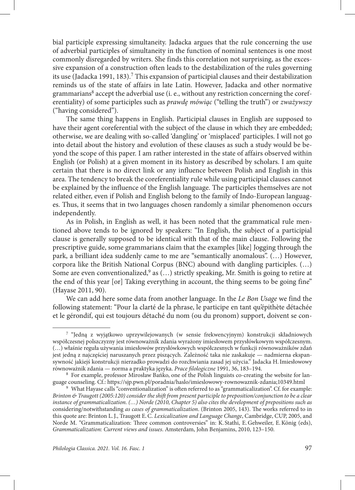bial participle expressing simultaneity. Jadacka argues that the rule concerning the use of adverbial participles of simultaneity in the function of nominal sentences is one most commonly disregarded by writers. She finds this correlation not surprising, as the excessive expansion of a construction often leads to the destabilization of the rules governing its use (Jadacka 1991, 183).<sup>7</sup> This expansion of participial clauses and their destabilization reminds us of the state of affairs in late Latin. However, Jadacka and other normative grammarians<sup>8</sup> accept the adverbial use (i. e., without any restriction concerning the coreferentiality) of some participles such as *prawdę mówiąc* ("telling the truth") or *zważywszy* ("having considered").

The same thing happens in English. Participial clauses in English are supposed to have their agent coreferential with the subject of the clause in which they are embedded; otherwise, we are dealing with so-called 'dangling' or 'misplaced' participles. I will not go into detail about the history and evolution of these clauses as such a study would be beyond the scope of this paper. I am rather interested in the state of affairs observed within English (or Polish) at a given moment in its history as described by scholars. I am quite certain that there is no direct link or any influence between Polish and English in this area. The tendency to break the coreferentiality rule while using participial clauses cannot be explained by the influence of the English language. The participles themselves are not related either, even if Polish and English belong to the family of Indo-European languages. Thus, it seems that in two languages chosen randomly a similar phenomenon occurs independently.

As in Polish, in English as well, it has been noted that the grammatical rule mentioned above tends to be ignored by speakers: "In English, the subject of a participial clause is generally supposed to be identical with that of the main clause. Following the prescriptive guide, some grammarians claim that the examples [like] Jogging through the park, a brilliant idea suddenly came to me are "semantically anomalous". (…) However, corpora like the British National Corpus (BNC) abound with dangling participles. (…) Some are even conventionalized,<sup>9</sup> as (...) strictly speaking, Mr. Smith is going to retire at the end of this year [or] Taking everything in account, the thing seems to be going fine" (Hayase 2011, 90).

We can add here some data from another language. In the *Le Bon Usage* we find the following statement: "Pour la clarté de la phrase, le participe en tant qu'épithète détachée et le gérondif, qui est toujours détaché du nom (ou du pronom) support, doivent se con-

<sup>7</sup> "Jedną z wyjątkowo uprzywilejowanych (w sensie frekwencyjnym) konstrukcji składniowych współczesnej polszczyzny jest równoważnik zdania wyrażony imiesłowem przysłówkowym współczesnym. (…) właśnie reguła używania imiesłowów przysłówkowych współczesnych w funkcji równoważników zdań jest jedną z najczęściej naruszanych przez piszących. Zależność taka nie zaskakuje — nadmierna ekspansywność jakiejś konstrukcji nierzadko prowadzi do rozchwiania zasad jej użycia." Jadacka H.Imiesłowowy równoważnik zdania — norma a praktyka języka. *Prace filologiczne* 1991, 36, 183–194.

<sup>8</sup> For example, professor Mirosław Bańko, one of the Polish linguists co-creating the website for language counseling. Cf.: https://sjp.pwn.pl/poradnia/haslo/imieslowowy-rownowaznik-zdania;10349.html

<sup>9</sup> What Hayase calls "conventionalization" is often referred to as "grammaticalization". Cf. for example: *Brinton & Traugott (2005:120) consider the shift from present participle to preposition/conjunction to be a clear instance of grammaticalization. (…) Norde (2010, Chapter 5) also cites the development of prepositions such as*  considering/notwithstanding *as cases of grammaticalization*. (Brinton 2005, 143). The works referred to in this quote are: Brinton L.J., Traugott E.C. *Lexicalization and Language Change*, Cambridge, CUP, 2005, and Norde M. "Grammaticalization: Three common controversies" in: K. Stathi, E.Gehweiler, E.König (eds), *Grammaticalization: Current views and issues*. Amsterdam, John Benjamins, 2010, 123–150.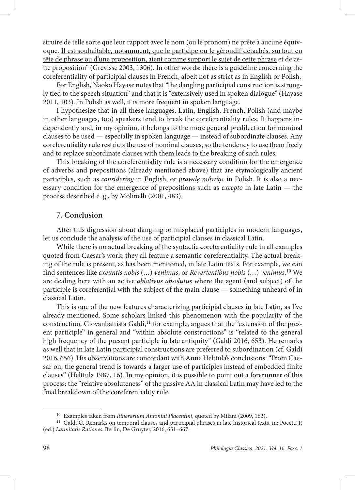struire de telle sorte que leur rapport avec le nom (ou le pronom) ne prête à aucune équivoque. Il est souhaitable, notamment, que le participe ou le gérondif détachés, surtout en tête de phrase ou d'une proposition, aient comme support le sujet de cette phrase et de cette proposition" (Grevisse 2003, 1306). In other words: there is a guideline concerning the coreferentiality of participial clauses in French, albeit not as strict as in English or Polish.

For English, Naoko Hayase notes that "the dangling participial construction is strongly tied to the speech situation" and that it is "extensively used in spoken dialogue" (Hayase 2011, 103). In Polish as well, it is more frequent in spoken language.

I hypothesize that in all these languages, Latin, English, French, Polish (and maybe in other languages, too) speakers tend to break the coreferentiality rules. It happens independently and, in my opinion, it belongs to the more general predilection for nominal clauses to be used — especially in spoken language — instead of subordinate clauses. Any coreferentiality rule restricts the use of nominal clauses, so the tendency to use them freely and to replace subordinate clauses with them leads to the breaking of such rules.

This breaking of the coreferentiality rule is a necessary condition for the emergence of adverbs and prepositions (already mentioned above) that are etymologically ancient participles, such as *considering* in English, or *prawdę mówiąc* in Polish. It is also a necessary condition for the emergence of prepositions such as *excepto* in late Latin — the process described e. g., by Molinelli (2001, 483).

## **7. Conclusion**

After this digression about dangling or misplaced participles in modern languages, let us conclude the analysis of the use of participial clauses in classical Latin.

While there is no actual breaking of the syntactic coreferentiality rule in all examples quoted from Caesar's work, they all feature a semantic coreferentiality. The actual breaking of the rule is present, as has been mentioned, in late Latin texts. For example, we can find sentences like *exeuntis nobis* (*…*) *venimus*, or *Revertentibus nobis* (*…*) *venimus.*10 We are dealing here with an active *ablativus absolutus* where the agent (and subject) of the participle is coreferential with the subject of the main clause — something unheard of in classical Latin.

This is one of the new features characterizing participial clauses in late Latin, as I've already mentioned. Some scholars linked this phenomenon with the popularity of the construction. Giovanbattista Galdi,<sup>11</sup> for example, argues that the "extension of the present participle" in general and "within absolute constructions" is "related to the general high frequency of the present participle in late antiquity" (Galdi 2016, 653). He remarks as well that in late Latin participial constructions are preferred to subordination (cf. Galdi 2016, 656). His observations are concordant with Anne Helttula's conclusions: "From Caesar on, the general trend is towards a larger use of participles instead of embedded finite clauses" (Helttula 1987, 16). In my opinion, it is possible to point out a forerunner of this process: the "relative absoluteness" of the passive AA in classical Latin may have led to the final breakdown of the coreferentiality rule.

<sup>10</sup> Examples taken from *Itinerarium Antonini Placentini*, quoted by Milani (2009, 162).

<sup>&</sup>lt;sup>11</sup> Galdi G. Remarks on temporal clauses and participial phrases in late historical texts, in: Pocetti P. (ed.) *Latinitatis Rationes*. Berlin, De Gruyter, 2016, 651–667.